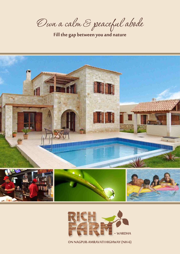Own a calm & peaceful abode

Fill the gap between you and nature





ON NAGPUR-AMRAVATI HIGHWAY (NH-6)